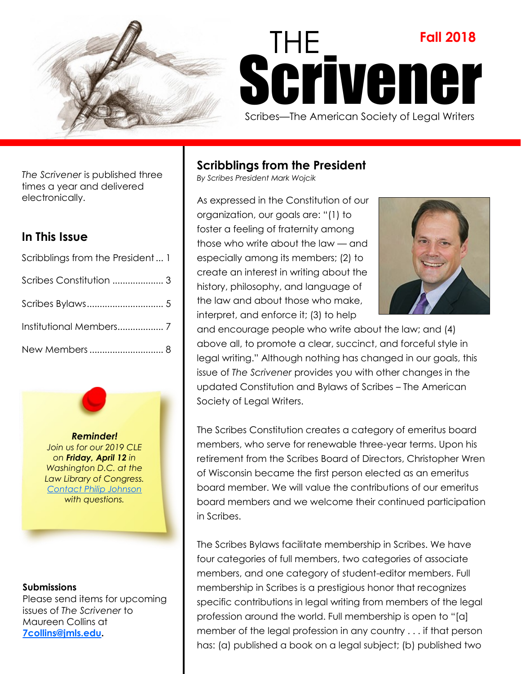

# THE **Fall 2018** Scrivener Scribes—The American Society of Legal Writers

*The Scrivener* is published three times a year and delivered electronically.

# **In This Issue**

| Scribblings from the President 1 |  |
|----------------------------------|--|
|                                  |  |
|                                  |  |
|                                  |  |
|                                  |  |

*Reminder! Join us for our 2019 CLE on Friday, April 12 in Washington D.C. at the Law Library of Congress. [Contact Philip Johnson](mailto:scribeslegalwriters@gmail.com) with questions.* 

# **Submissions**

Please send items for upcoming issues of *The Scrivener* to Maureen Collins at **[7collins@jmls.edu.](mailto:7collins@jmls.edu?subject=The%20Scrivener%20Article%20Submission)**

# **Scribblings from the President**

*By Scribes President Mark Wojcik*

As expressed in the Constitution of our organization, our goals are: "(1) to foster a feeling of fraternity among those who write about the law — and especially among its members; (2) to create an interest in writing about the history, philosophy, and language of the law and about those who make, interpret, and enforce it; (3) to help



and encourage people who write about the law; and (4) above all, to promote a clear, succinct, and forceful style in legal writing." Although nothing has changed in our goals, this issue of *The Scrivener* provides you with other changes in the updated Constitution and Bylaws of Scribes – The American Society of Legal Writers.

The Scribes Constitution creates a category of emeritus board members, who serve for renewable three-year terms. Upon his retirement from the Scribes Board of Directors, Christopher Wren of Wisconsin became the first person elected as an emeritus board member. We will value the contributions of our emeritus board members and we welcome their continued participation in Scribes.

The Scribes Bylaws facilitate membership in Scribes. We have four categories of full members, two categories of associate members, and one category of student-editor members. Full membership in Scribes is a prestigious honor that recognizes specific contributions in legal writing from members of the legal profession around the world. Full membership is open to "[a] member of the legal profession in any country . . . if that person has: (a) published a book on a legal subject; (b) published two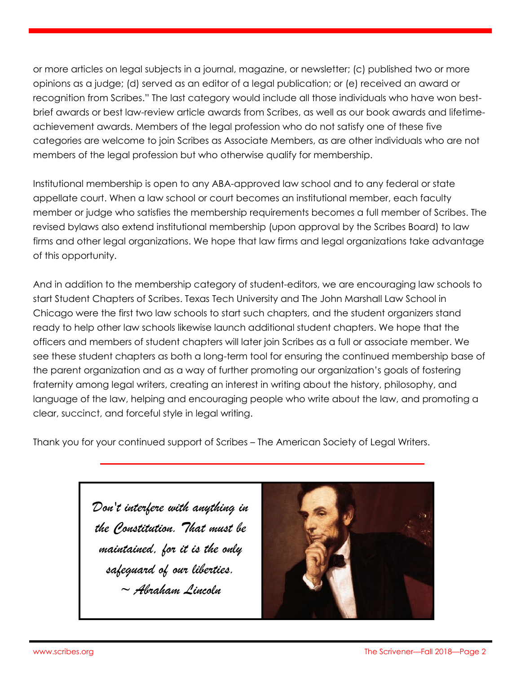or more articles on legal subjects in a journal, magazine, or newsletter; (c) published two or more opinions as a judge; (d) served as an editor of a legal publication; or (e) received an award or recognition from Scribes." The last category would include all those individuals who have won bestbrief awards or best law-review article awards from Scribes, as well as our book awards and lifetimeachievement awards. Members of the legal profession who do not satisfy one of these five categories are welcome to join Scribes as Associate Members, as are other individuals who are not members of the legal profession but who otherwise qualify for membership.

Institutional membership is open to any ABA-approved law school and to any federal or state appellate court. When a law school or court becomes an institutional member, each faculty member or judge who satisfies the membership requirements becomes a full member of Scribes. The revised bylaws also extend institutional membership (upon approval by the Scribes Board) to law firms and other legal organizations. We hope that law firms and legal organizations take advantage of this opportunity.

And in addition to the membership category of student-editors, we are encouraging law schools to start Student Chapters of Scribes. Texas Tech University and The John Marshall Law School in Chicago were the first two law schools to start such chapters, and the student organizers stand ready to help other law schools likewise launch additional student chapters. We hope that the officers and members of student chapters will later join Scribes as a full or associate member. We see these student chapters as both a long-term tool for ensuring the continued membership base of the parent organization and as a way of further promoting our organization's goals of fostering fraternity among legal writers, creating an interest in writing about the history, philosophy, and language of the law, helping and encouraging people who write about the law, and promoting a clear, succinct, and forceful style in legal writing.

Thank you for your continued support of Scribes – The American Society of Legal Writers.

*Don't interfere with anything in the Constitution. That must be maintained, for it is the only safeguard of our liberties. ~ Abraham Lincoln*

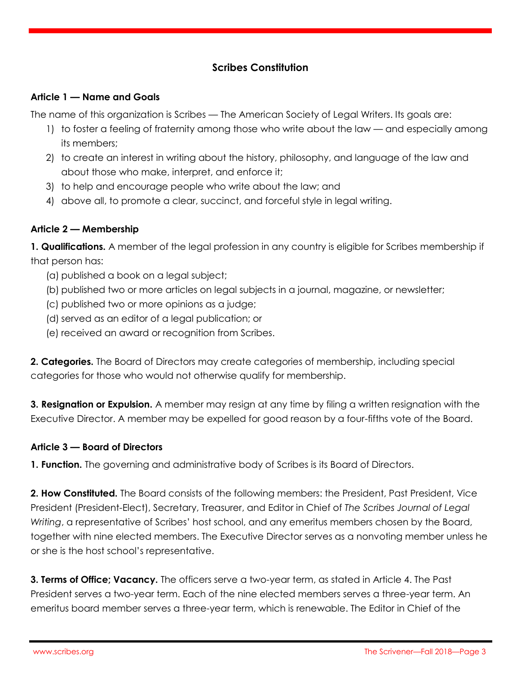# **Scribes Constitution**

#### **Article 1 — Name and Goals**

The name of this organization is Scribes — The American Society of Legal Writers. Its goals are:

- 1) to foster a feeling of fraternity among those who write about the law and especially among its members;
- 2) to create an interest in writing about the history, philosophy, and language of the law and about those who make, interpret, and enforce it;
- 3) to help and encourage people who write about the law; and
- 4) above all, to promote a clear, succinct, and forceful style in legal writing.

# **Article 2 — Membership**

**1. Qualifications.** A member of the legal profession in any country is eligible for Scribes membership if that person has:

- (a) published a book on a legal subject;
- (b) published two or more articles on legal subjects in a journal, magazine, or newsletter;
- (c) published two or more opinions as a judge;
- (d) served as an editor of a legal publication; or
- (e) received an award or recognition from Scribes.

**2. Categories.** The Board of Directors may create categories of membership, including special categories for those who would not otherwise qualify for membership.

**3. Resignation or Expulsion.** A member may resign at any time by filing a written resignation with the Executive Director. A member may be expelled for good reason by a four-fifths vote of the Board.

# **Article 3 — Board of Directors**

**1. Function.** The governing and administrative body of Scribes is its Board of Directors.

**2. How Constituted.** The Board consists of the following members: the President, Past President, Vice President (President-Elect), Secretary, Treasurer, and Editor in Chief of *The Scribes Journal of Legal Writing*, a representative of Scribes' host school, and any emeritus members chosen by the Board, together with nine elected members. The Executive Director serves as a nonvoting member unless he or she is the host school's representative.

**3. Terms of Office; Vacancy.** The officers serve a two-year term, as stated in Article 4. The Past President serves a two-year term. Each of the nine elected members serves a three-year term. An emeritus board member serves a three-year term, which is renewable. The Editor in Chief of the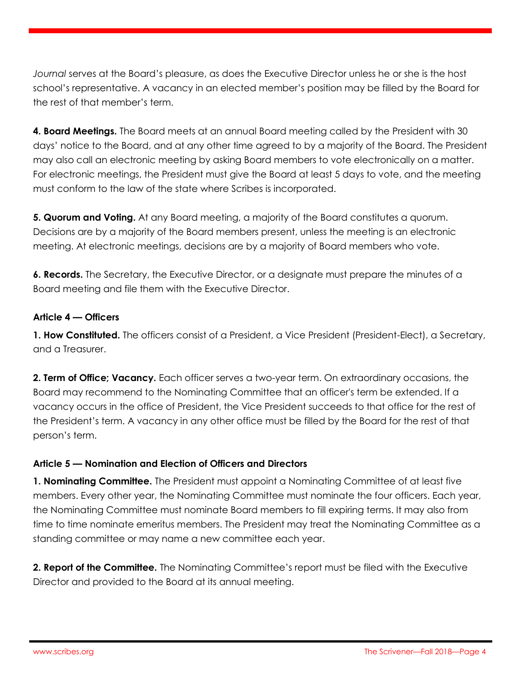*Journal* serves at the Board's pleasure, as does the Executive Director unless he or she is the host school's representative. A vacancy in an elected member's position may be filled by the Board for the rest of that member's term.

**4. Board Meetings.** The Board meets at an annual Board meeting called by the President with 30 days' notice to the Board, and at any other time agreed to by a majority of the Board. The President may also call an electronic meeting by asking Board members to vote electronically on a matter. For electronic meetings, the President must give the Board at least 5 days to vote, and the meeting must conform to the law of the state where Scribes is incorporated.

**5. Quorum and Voting.** At any Board meeting, a majority of the Board constitutes a quorum. Decisions are by a majority of the Board members present, unless the meeting is an electronic meeting. At electronic meetings, decisions are by a majority of Board members who vote.

**6. Records.** The Secretary, the Executive Director, or a designate must prepare the minutes of a Board meeting and file them with the Executive Director.

# **Article 4 — Officers**

**1. How Constituted.** The officers consist of a President, a Vice President (President-Elect), a Secretary, and a Treasurer.

**2. Term of Office; Vacancy.** Each officer serves a two-year term. On extraordinary occasions, the Board may recommend to the Nominating Committee that an officer's term be extended. If a vacancy occurs in the office of President, the Vice President succeeds to that office for the rest of the President's term. A vacancy in any other office must be filled by the Board for the rest of that person's term.

# **Article 5 — Nomination and Election of Officers and Directors**

**1. Nominating Committee.** The President must appoint a Nominating Committee of at least five members. Every other year, the Nominating Committee must nominate the four officers. Each year, the Nominating Committee must nominate Board members to fill expiring terms. It may also from time to time nominate emeritus members. The President may treat the Nominating Committee as a standing committee or may name a new committee each year.

**2. Report of the Committee.** The Nominating Committee's report must be filed with the Executive Director and provided to the Board at its annual meeting.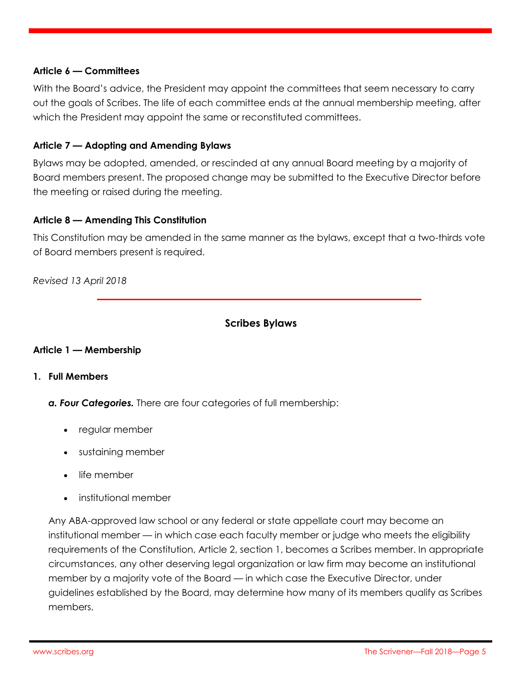#### **Article 6 — Committees**

With the Board's advice, the President may appoint the committees that seem necessary to carry out the goals of Scribes. The life of each committee ends at the annual membership meeting, after which the President may appoint the same or reconstituted committees.

#### **Article 7 — Adopting and Amending Bylaws**

Bylaws may be adopted, amended, or rescinded at any annual Board meeting by a majority of Board members present. The proposed change may be submitted to the Executive Director before the meeting or raised during the meeting.

#### **Article 8 — Amending This Constitution**

This Constitution may be amended in the same manner as the bylaws, except that a two-thirds vote of Board members present is required.

*Revised 13 April 2018* 

# **Scribes Bylaws**

#### **Article 1 — Membership**

#### **1. Full Members**

*a. Four Categories.* There are four categories of full membership:

- regular member
- sustaining member
- life member
- institutional member

Any ABA-approved law school or any federal or state appellate court may become an institutional member — in which case each faculty member or judge who meets the eligibility requirements of the Constitution, Article 2, section 1, becomes a Scribes member. In appropriate circumstances, any other deserving legal organization or law firm may become an institutional member by a majority vote of the Board — in which case the Executive Director, under guidelines established by the Board, may determine how many of its members qualify as Scribes members.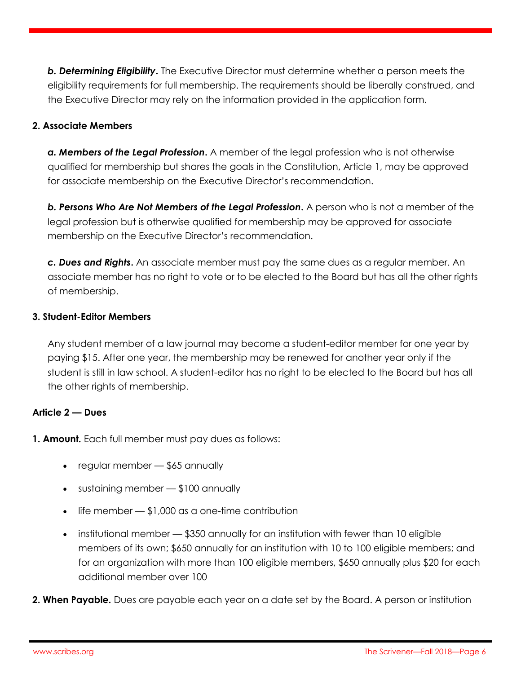**b. Determining Eligibility.** The Executive Director must determine whether a person meets the eligibility requirements for full membership. The requirements should be liberally construed, and the Executive Director may rely on the information provided in the application form.

# **2. Associate Members**

*a. Members of the Legal Profession***.** A member of the legal profession who is not otherwise qualified for membership but shares the goals in the Constitution, Article 1, may be approved for associate membership on the Executive Director's recommendation.

**b. Persons Who Are Not Members of the Legal Profession.** A person who is not a member of the legal profession but is otherwise qualified for membership may be approved for associate membership on the Executive Director's recommendation.

*c. Dues and Rights***.** An associate member must pay the same dues as a regular member. An associate member has no right to vote or to be elected to the Board but has all the other rights of membership.

# **3. Student-Editor Members**

Any student member of a law journal may become a student-editor member for one year by paying \$15. After one year, the membership may be renewed for another year only if the student is still in law school. A student-editor has no right to be elected to the Board but has all the other rights of membership.

# **Article 2 — Dues**

**1. Amount.** Each full member must pay dues as follows:

- regular member \$65 annually
- sustaining member \$100 annually
- $\bullet$  life member  $\sim$  \$1,000 as a one-time contribution
- institutional member  $-$  \$350 annually for an institution with fewer than 10 eligible members of its own; \$650 annually for an institution with 10 to 100 eligible members; and for an organization with more than 100 eligible members, \$650 annually plus \$20 for each additional member over 100
- **2. When Payable.** Dues are payable each year on a date set by the Board. A person or institution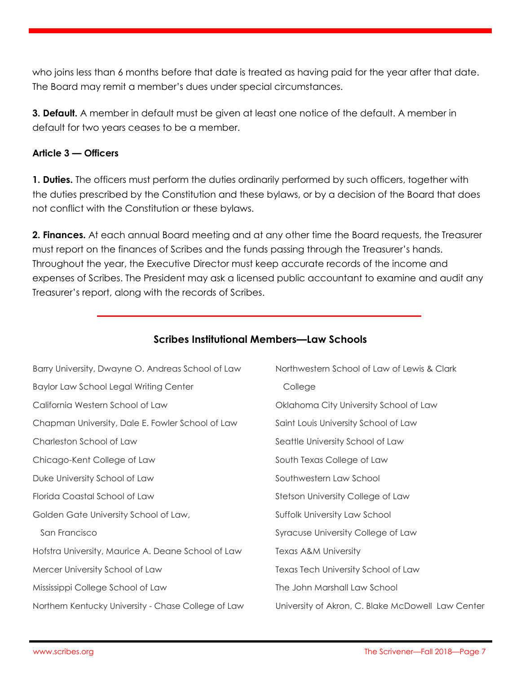who joins less than 6 months before that date is treated as having paid for the year after that date. The Board may remit a member's dues under special circumstances.

**3. Default.** A member in default must be given at least one notice of the default. A member in default for two years ceases to be a member.

### **Article 3 — Officers**

**1. Duties.** The officers must perform the duties ordinarily performed by such officers, together with the duties prescribed by the Constitution and these bylaws, or by a decision of the Board that does not conflict with the Constitution or these bylaws.

**2. Finances.** At each annual Board meeting and at any other time the Board requests, the Treasurer must report on the finances of Scribes and the funds passing through the Treasurer's hands. Throughout the year, the Executive Director must keep accurate records of the income and expenses of Scribes. The President may ask a licensed public accountant to examine and audit any Treasurer's report, along with the records of Scribes.

| Barry University, Dwayne O. Andreas School of Law   | Northwestern School of Law of Lewis & Clark       |
|-----------------------------------------------------|---------------------------------------------------|
| Baylor Law School Legal Writing Center              | College                                           |
| California Western School of Law                    | Oklahoma City University School of Law            |
| Chapman University, Dale E. Fowler School of Law    | Saint Louis University School of Law              |
| Charleston School of Law                            | Seattle University School of Law                  |
| Chicago-Kent College of Law                         | South Texas College of Law                        |
| Duke University School of Law                       | Southwestern Law School                           |
| Florida Coastal School of Law                       | Stetson University College of Law                 |
| Golden Gate University School of Law,               | Suffolk University Law School                     |
| San Francisco                                       | Syracuse University College of Law                |
| Hofstra University, Maurice A. Deane School of Law  | Texas A&M University                              |
| Mercer University School of Law                     | Texas Tech University School of Law               |
| Mississippi College School of Law                   | The John Marshall Law School                      |
| Northern Kentucky University - Chase College of Law | University of Akron, C. Blake McDowell Law Center |

# **Scribes Institutional Members—Law Schools**